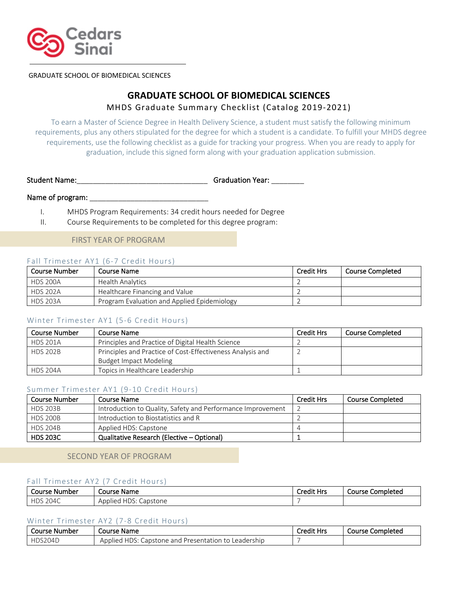

GRADUATE SCHOOL OF BIOMEDICAL SCIENCES

# **GRADUATE SCHOOL OF BIOMEDICAL SCIENCES** MHDS Graduate Summary Checklist (Catalog 2019-2021)

To earn a Master of Science Degree in Health Delivery Science, a student must satisfy the following minimum requirements, plus any others stipulated for the degree for which a student is a candidate. To fulfill your MHDS degree requirements, use the following checklist as a guide for tracking your progress. When you are ready to apply for graduation, include this signed form along with your graduation application submission.

Student Name:\_\_\_\_\_\_\_\_\_\_\_\_\_\_\_\_\_\_\_\_\_\_\_\_\_\_\_\_\_\_\_\_ Graduation Year: \_\_\_\_\_\_\_\_

## Name of program: \_\_\_\_

I. MHDS Program Requirements: 34 credit hours needed for Degree

II. Course Requirements to be completed for this degree program:

## FIRST YEAR OF PROGRAM

## Fall Trimester AY1 (6-7 Credit Hours)

| Course Number   | Course Name                                 | <b>Credit Hrs</b> | Course Completed |
|-----------------|---------------------------------------------|-------------------|------------------|
| <b>HDS 200A</b> | Health Analytics                            |                   |                  |
| <b>HDS 202A</b> | Healthcare Financing and Value              |                   |                  |
| <b>HDS 203A</b> | Program Evaluation and Applied Epidemiology |                   |                  |

## Winter Trimester AY1 (5-6 Credit Hours)

| <b>Course Number</b> | Course Name                                                | Credit Hrs | <b>Course Completed</b> |
|----------------------|------------------------------------------------------------|------------|-------------------------|
| <b>HDS 201A</b>      | Principles and Practice of Digital Health Science          |            |                         |
| <b>HDS 202B</b>      | Principles and Practice of Cost-Effectiveness Analysis and |            |                         |
|                      | <b>Budget Impact Modeling</b>                              |            |                         |
| <b>HDS 204A</b>      | Topics in Healthcare Leadership                            |            |                         |

#### Summer Trimester AY1 (9-10 Credit Hours)

| Course Number   | Course Name                                                 | <b>Credit Hrs</b> | <b>Course Completed</b> |
|-----------------|-------------------------------------------------------------|-------------------|-------------------------|
| <b>HDS 203B</b> | Introduction to Quality, Safety and Performance Improvement |                   |                         |
| <b>HDS 200B</b> | Introduction to Biostatistics and R                         |                   |                         |
| <b>HDS 204B</b> | Applied HDS: Capstone                                       |                   |                         |
| <b>HDS 203C</b> | Qualitative Research (Elective - Optional)                  |                   |                         |

## SECOND YEAR OF PROGRAM

#### Fall Trimester AY2 (7 Credit Hours)

| Course<br>. Number | Course Name                           | .<br>`redit<br>Hrs<br>euit | Completed<br>Course |
|--------------------|---------------------------------------|----------------------------|---------------------|
| 'U4<br>$\sim$      | ∍רו∟<br>Capstone<br>. Applied<br>-כשד |                            |                     |

#### Winter Trimester AY2 (7-8 Credit Hours)

| Course Number | : Name<br>Course                                                    | <b>Credit Hrs</b> | Course Completed |
|---------------|---------------------------------------------------------------------|-------------------|------------------|
| HDS204D       | HDS:<br>Leadership<br>Applied<br>Lapstone and<br>Presentation<br>ŤΩ |                   |                  |